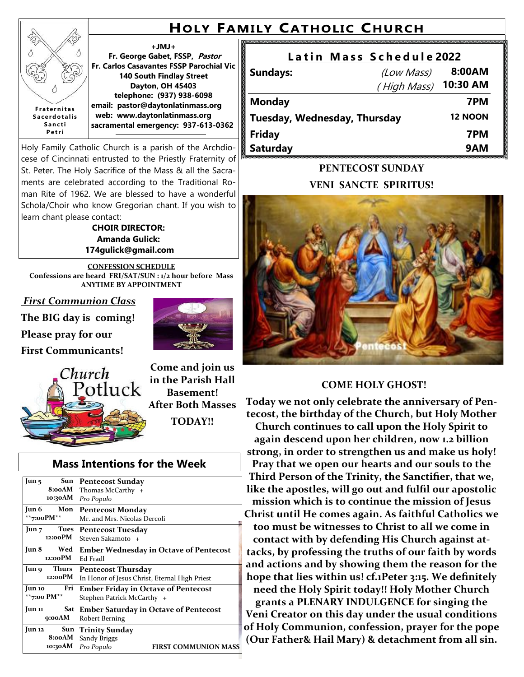# **HOLY FAMILY CATHOLIC CHURCH**

#### **+JMJ+**

**Fr. George Gabet, FSSP, Pastor Fr. Carlos Casavantes FSSP Parochial Vic 140 South Findlay Street Dayton, OH 45403 telephone: (937) 938-6098 email: pastor@daytonlatinmass.org web: www.daytonlatinmass.org sacramental emergency: 937-613-0362** 

Holy Family Catholic Church is a parish of the Archdiocese of Cincinnati entrusted to the Priestly Fraternity of St. Peter. The Holy Sacrifice of the Mass & all the Sacraments are celebrated according to the Traditional Roman Rite of 1962. We are blessed to have a wonderful Schola/Choir who know Gregorian chant. If you wish to learn chant please contact:

> **CHOIR DIRECTOR: Amanda Gulick: 174gulick@gmail.com**

**CONFESSION SCHEDULE Confessions are heard FRI/SAT/SUN : 1/2 hour before Mass ANYTIME BY APPOINTMENT**

*First Communion Class*

**F r a t e r n i t a s S a c e r d o t a l i s S a n c t i P e t r i**

ž

**The BIG day is coming! Please pray for our**

**First Communicants!**



**Come and join us in the Parish Hall Basement! After Both Masses TODAY!!**

### **Mass Intentions for the Week**

| Sun<br>Jun <sub>5</sub>                  | <b>Pentecost Sunday</b>                             |  |
|------------------------------------------|-----------------------------------------------------|--|
| 8:00AM                                   | Thomas McCarthy +                                   |  |
| 10:30AM                                  | Pro Populo                                          |  |
| Jun 6<br>Mon                             | <b>Pentecost Monday</b>                             |  |
| **7:00PM**                               | Mr. and Mrs. Nicolas Dercoli                        |  |
| Tues<br>Jun 7                            | <b>Pentecost Tuesday</b>                            |  |
| 12:00PM                                  | Steven Sakamoto +                                   |  |
| Jun 8<br>Wed                             | <b>Ember Wednesday in Octave of Pentecost</b>       |  |
| 12:00PM                                  | Ed Fradl                                            |  |
| Jun 9 Thurs<br><b>Pentecost Thursday</b> |                                                     |  |
| 12:00PM                                  | In Honor of Jesus Christ, Eternal High Priest       |  |
| Jun 10                                   | Fri<br><b>Ember Friday in Octave of Pentecost</b>   |  |
| **7:00 PM**                              | Stephen Patrick McCarthy +                          |  |
| Jun 11                                   | Sat<br><b>Ember Saturday in Octave of Pentecost</b> |  |
| 9:00AM                                   | Robert Berning                                      |  |
| Jun 12                                   | C<br>Sun<br><b>Trinity Sunday</b>                   |  |
| 8:00AM                                   | Sandy Briggs                                        |  |
| 10:30AM                                  | Pro Populo<br><b>FIRST COMMUNION MASS</b>           |  |

# Latin Mass Schedule 2022

| <b>Sundays:</b>              | (Low Mass)  | 8:00AM         |
|------------------------------|-------------|----------------|
|                              | (High Mass) | 10:30 AM       |
| <b>Monday</b>                |             | 7PM            |
| Tuesday, Wednesday, Thursday |             | <b>12 NOON</b> |
| <b>Friday</b>                |             | 7PM            |
| <b>Saturday</b>              |             | 9AM            |

## **PENTECOST SUNDAY VENI SANCTE SPIRITUS!**



### **COME HOLY GHOST!**

**Today we not only celebrate the anniversary of Pentecost, the birthday of the Church, but Holy Mother Church continues to call upon the Holy Spirit to again descend upon her children, now 1.2 billion strong, in order to strengthen us and make us holy! Pray that we open our hearts and our souls to the Third Person of the Trinity, the Sanctifier, that we, like the apostles, will go out and fulfil our apostolic mission which is to continue the mission of Jesus Christ until He comes again. As faithful Catholics we too must be witnesses to Christ to all we come in contact with by defending His Church against attacks, by professing the truths of our faith by words and actions and by showing them the reason for the hope that lies within us! cf.1Peter 3:15. We definitely need the Holy Spirit today!! Holy Mother Church grants a PLENARY INDULGENCE for singing the Veni Creator on this day under the usual conditions of Holy Communion, confession, prayer for the pope (Our Father& Hail Mary) & detachment from all sin.**